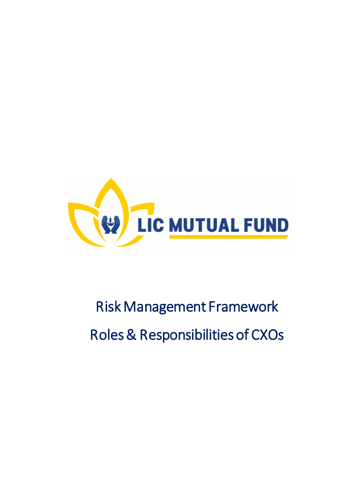

# Risk Management Framework Roles & Responsibilities of CXOs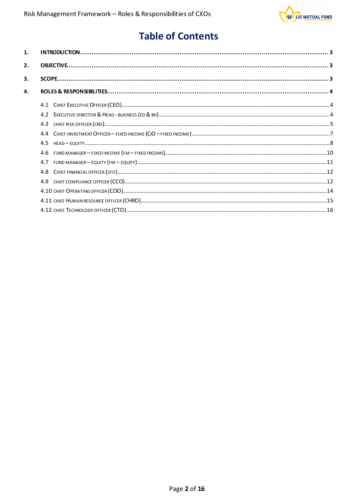

# **Table of Contents**

| 4.5 |  |
|-----|--|
|     |  |
|     |  |
|     |  |
|     |  |
|     |  |
|     |  |
|     |  |
|     |  |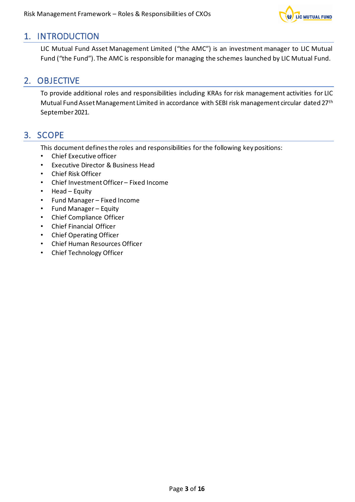

# <span id="page-2-0"></span>1. INTRODUCTION

LIC Mutual Fund Asset Management Limited ("the AMC") is an investment manager to LIC Mutual Fund ("the Fund"). The AMC is responsible for managing the schemes launched by LIC Mutual Fund.

# <span id="page-2-1"></span>2. OBJECTIVE

To provide additional roles and responsibilities including KRAs for risk management activities for LIC Mutual Fund Asset Management Limited in accordance with SEBI risk management circular dated 27<sup>th</sup> September 2021.

# <span id="page-2-2"></span>3. SCOPE

This document defines the roles and responsibilities for the following key positions:

- Chief Executive officer
- Executive Director & Business Head
- Chief Risk Officer
- Chief Investment Officer Fixed Income
- Head Equity
- Fund Manager Fixed Income
- Fund Manager Equity
- Chief Compliance Officer
- Chief Financial Officer
- Chief Operating Officer
- Chief Human Resources Officer
- Chief Technology Officer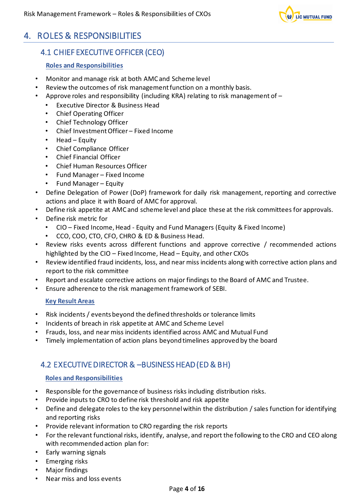

# <span id="page-3-1"></span><span id="page-3-0"></span>4. ROLES & RESPONSIBILITIES

# 4.1 CHIEF EXECUTIVE OFFICER (CEO)

# **Roles and Responsibilities**

- Monitor and manage risk at both AMC and Scheme level
- Review the outcomes of risk management function on a monthly basis.
- Approve roles and responsibility (including KRA) relating to risk management of
	- Executive Director & Business Head
	- Chief Operating Officer
	- Chief Technology Officer
	- Chief Investment Officer Fixed Income
	- Head Equity
	- Chief Compliance Officer
	- Chief Financial Officer
	- Chief Human Resources Officer
	- Fund Manager Fixed Income
	- Fund Manager Equity
- Define Delegation of Power (DoP) framework for daily risk management, reporting and corrective actions and place it with Board of AMC for approval.
- Define risk appetite at AMC and scheme level and place these at the risk committees for approvals.
- Define risk metric for
	- CIO Fixed Income, Head Equity and Fund Managers (Equity & Fixed Income)
	- CCO, COO, CTO, CFO, CHRO & ED & Business Head.
- Review risks events across different functions and approve corrective / recommended actions highlighted by the CIO – Fixed Income, Head – Equity, and other CXOs
- Review identified fraud incidents, loss, and near miss incidents along with corrective action plans and report to the risk committee
- Report and escalate corrective actions on major findings to the Board of AMC and Trustee.
- Ensure adherence to the risk management framework of SEBI.

## **Key Result Areas**

- Risk incidents / events beyond the defined thresholds or tolerance limits
- Incidents of breach in risk appetite at AMC and Scheme Level
- Frauds, loss, and near miss incidents identified across AMC and Mutual Fund
- Timely implementation of action plans beyond timelines approved by the board

# <span id="page-3-2"></span>4.2 EXECUTIVE DIRECTOR & –BUSINESS HEAD (ED & BH)

- Responsible for the governance of business risks including distribution risks.
- Provide inputs to CRO to define risk threshold and risk appetite
- Define and delegate roles to the key personnel within the distribution / sales function for identifying and reporting risks
- Provide relevant information to CRO regarding the risk reports
- For the relevant functional risks, identify, analyse, and report the following to the CRO and CEO along with recommended action plan for:
- Early warning signals
- Emerging risks
- Major findings
- Near miss and loss events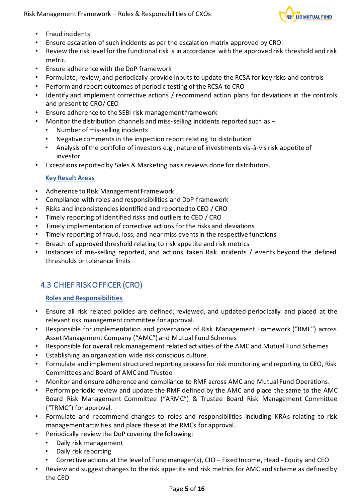

- Fraud incidents
- Ensure escalation of such incidents as per the escalation matrix approved by CRO.
- Review the risk level for the functional risk is in accordance with the approved risk threshold and risk metric.
- Ensure adherence with the DoP framework
- Formulate, review, and periodically provide inputs to update the RCSA for key risks and controls
- Perform and report outcomes of periodic testing of the RCSA to CRO
- Identify and implement corrective actions / recommend action plans for deviations in the controls and present to CRO/ CEO
- Ensure adherence to the SEBI risk management framework
- Monitor the distribution channels and miss-selling incidents reported such as
	- Number of mis-selling incidents
	- Negative comments in the inspection report relating to distribution
	- Analysis of the portfolio of investors e.g., nature of investments vis-à-vis risk appetite of investor
- Exceptions reported by Sales & Marketing basis reviews done for distributors.

- Adherence to Risk Management Framework
- Compliance with roles and responsibilities and DoP framework
- Risks and inconsistencies identified and reported to CEO / CRO
- Timely reporting of identified risks and outliers to CEO / CRO
- Timely implementation of corrective actions for the risks and deviations
- Timely reporting of fraud, loss, and near miss events in the respective functions
- Breach of approved threshold relating to risk appetite and risk metrics
- Instances of mis-selling reported, and actions taken Risk incidents / events beyond the defined thresholds or tolerance limits

# <span id="page-4-0"></span>4.3 CHIEF RISK OFFICER (CRO)

- Ensure all risk related policies are defined, reviewed, and updated periodically and placed at the relevant risk management committee for approval.
- Responsible for implementation and governance of Risk Management Framework ("RMF") across Asset Management Company ("AMC") and Mutual Fund Schemes
- Responsible for overall risk management related activities of the AMC and Mutual Fund Schemes
- Establishing an organization wide risk conscious culture.
- Formulate and implement structured reporting process for risk monitoring and reporting to CEO, Risk Committees and Board of AMC and Trustee
- Monitor and ensure adherence and compliance to RMF across AMC and Mutual Fund Operations.
- Perform periodic review and update the RMF defined by the AMC and place the same to the AMC Board Risk Management Committee ("ARMC") & Trustee Board Risk Management Committee ("TRMC") for approval.
- Formulate and recommend changes to roles and responsibilities including KRAs relating to risk management activities and place these at the RMCs for approval.
- Periodically review the DoP covering the following:
	- Daily risk management
	- Daily risk reporting
	- Corrective actions at the level of Fund manager(s), CIO Fixed Income, Head Equity and CEO
- Review and suggest changes to the risk appetite and risk metrics for AMC and scheme as defined by the CEO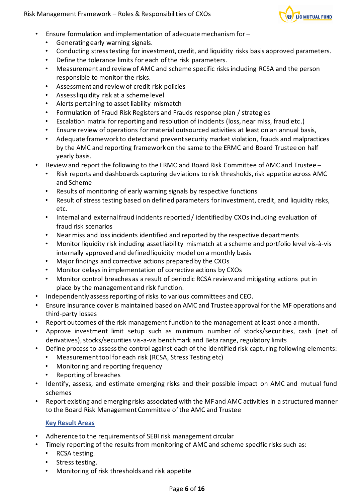

- Ensure formulation and implementation of adequate mechanism for
	- Generating early warning signals.
	- Conducting stress testing for investment, credit, and liquidity risks basis approved parameters.
	- Define the tolerance limits for each of the risk parameters.
	- Measurement and review of AMC and scheme specific risks including RCSA and the person responsible to monitor the risks.
	- Assessment and review of credit risk policies
	- Assess liquidity risk at a scheme level
	- Alerts pertaining to asset liability mismatch
	- Formulation of Fraud Risk Registers and Frauds response plan / strategies
	- Escalation matrix for reporting and resolution of incidents (loss, near miss, fraud etc.)
	- Ensure review of operations for material outsourced activities at least on an annual basis,
	- Adequate framework to detect and prevent security market violation, frauds and malpractices by the AMC and reporting framework on the same to the ERMC and Board Trustee on half yearly basis.
- Review and report the following to the ERMC and Board Risk Committee of AMC and Trustee
	- Risk reports and dashboards capturing deviations to risk thresholds, risk appetite across AMC and Scheme
	- Results of monitoring of early warning signals by respective functions
	- Result of stress testing based on defined parameters for investment, credit, and liquidity risks, etc.
	- Internal and external fraud incidents reported / identified by CXOs including evaluation of fraud risk scenarios
	- Near miss and loss incidents identified and reported by the respective departments
	- Monitor liquidity risk including asset liability mismatch at a scheme and portfolio level vis-à-vis internally approved and defined liquidity model on a monthly basis
	- Major findings and corrective actions prepared by the CXOs
	- Monitor delays in implementation of corrective actions by CXOs
	- Monitor control breaches as a result of periodic RCSA review and mitigating actions put in place by the management and risk function.
- Independently assess reporting of risks to various committees and CEO.
- Ensure insurance cover is maintained based on AMC and Trustee approval for the MF operations and third-party losses
- Report outcomes of the risk management function to the management at least once a month.
- Approve investment limit setup such as minimum number of stocks/securities, cash (net of derivatives), stocks/securities vis-a-vis benchmark and Beta range, regulatory limits
- Define process to assess the control against each of the identified risk capturing following elements:
	- Measurement tool for each risk (RCSA, Stress Testing etc)
	- Monitoring and reporting frequency
	- Reporting of breaches
- Identify, assess, and estimate emerging risks and their possible impact on AMC and mutual fund schemes
- Report existing and emerging risks associated with the MF and AMC activities in a structured manner to the Board Risk Management Committee of the AMC and Trustee

- Adherence to the requirements of SEBI risk management circular
- Timely reporting of the results from monitoring of AMC and scheme specific risks such as:
	- RCSA testing.
	- Stress testing.
	- Monitoring of risk thresholds and risk appetite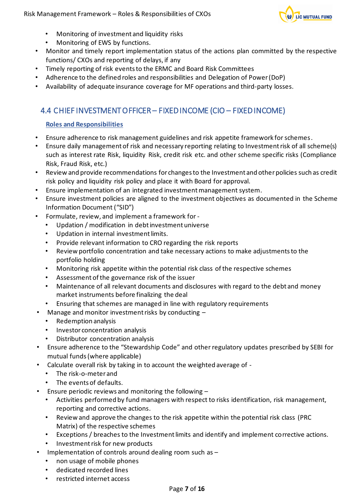

- Monitoring of investment and liquidity risks
- Monitoring of EWS by functions.
- Monitor and timely report implementation status of the actions plan committed by the respective functions/ CXOs and reporting of delays, if any
- Timely reporting of risk events to the ERMC and Board Risk Committees
- Adherence to the defined roles and responsibilities and Delegation of Power (DoP)
- Availability of adequate insurance coverage for MF operations and third-party losses.

# <span id="page-6-0"></span>4.4 CHIEF INVESTMENT OFFICER – FIXED INCOME (CIO – FIXED INCOME)

- Ensure adherence to risk management guidelines and risk appetite framework for schemes.
- Ensure daily management of risk and necessary reporting relating to Investment risk of all scheme(s) such as interest rate Risk, liquidity Risk, credit risk etc. and other scheme specific risks (Compliance Risk, Fraud Risk, etc.)
- Review and provide recommendations for changes to the Investment and other policies such as credit risk policy and liquidity risk policy and place it with Board for approval.
- Ensure implementation of an integrated investment management system.
- Ensure investment policies are aligned to the investment objectives as documented in the Scheme Information Document ("SID")
- Formulate, review, and implement a framework for
	- Updation / modification in debt investment universe
	- Updation in internal investment limits.
	- Provide relevant information to CRO regarding the risk reports
	- Review portfolio concentration and take necessary actions to make adjustments to the portfolio holding
	- Monitoring risk appetite within the potential risk class of the respective schemes
	- Assessment of the governance risk of the issuer
	- Maintenance of all relevant documents and disclosures with regard to the debt and money market instruments before finalizing the deal
	- Ensuring that schemes are managed in line with regulatory requirements
- Manage and monitor investment risks by conducting
	- Redemption analysis
	- Investor concentration analysis
	- Distributor concentration analysis
- Ensure adherence to the "Stewardship Code" and other regulatory updates prescribed by SEBI for mutual funds(where applicable)
- Calculate overall risk by taking in to account the weighted average of
	- The risk-o-meter and
	- The events of defaults.
- Ensure periodic reviews and monitoring the following  $-$ 
	- Activities performed by fund managers with respect to risks identification, risk management, reporting and corrective actions.
	- Review and approve the changes to the risk appetite within the potential risk class (PRC Matrix) of the respective schemes
	- Exceptions / breaches to the Investment limits and identify and implement corrective actions.
	- Investment risk for new products
- Implementation of controls around dealing room such as  $-$ 
	- non usage of mobile phones
	- dedicated recorded lines
	- restricted internet access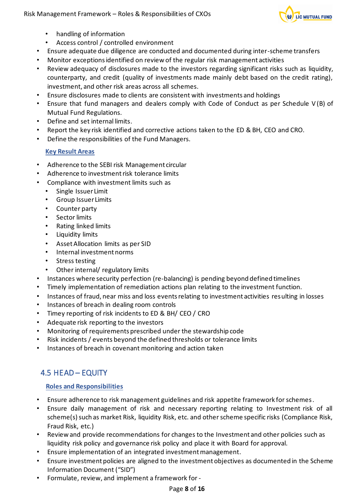

- handling of information
- Access control / controlled environment
- Ensure adequate due diligence are conducted and documented during inter-scheme transfers
- Monitor exceptions identified on review of the regular risk management activities
- Review adequacy of disclosures made to the investors regarding significant risks such as liquidity, counterparty, and credit (quality of investments made mainly debt based on the credit rating), investment, and other risk areas across all schemes.
- Ensure disclosures made to clients are consistent with investments and holdings
- Ensure that fund managers and dealers comply with Code of Conduct as per Schedule V (B) of Mutual Fund Regulations.
- Define and set internal limits.
- Report the key risk identified and corrective actions taken to the ED & BH, CEO and CRO.
- Define the responsibilities of the Fund Managers.

- Adherence to the SEBI risk Management circular
- Adherence to investment risk tolerance limits
- Compliance with investment limits such as
	- Single Issuer Limit
	- Group Issuer Limits
	- Counter party
	- Sector limits
	- Rating linked limits
	- Liquidity limits
	- Asset Allocation limits as per SID
	- Internal investment norms
	- Stress testing
	- Other internal/ regulatory limits
- Instances where security perfection (re-balancing) is pending beyond defined timelines
- Timely implementation of remediation actions plan relating to the investment function.
- Instances of fraud, near miss and loss events relating to investment activities resulting in losses
- Instances of breach in dealing room controls
- Timey reporting of risk incidents to ED & BH/ CEO / CRO
- Adequate risk reporting to the investors
- Monitoring of requirements prescribed under the stewardship code
- Risk incidents / events beyond the defined thresholds or tolerance limits
- Instances of breach in covenant monitoring and action taken

# <span id="page-7-0"></span>4.5 HEAD – EQUITY

- Ensure adherence to risk management guidelines and risk appetite framework for schemes.
- Ensure daily management of risk and necessary reporting relating to Investment risk of all scheme(s) such as market Risk, liquidity Risk, etc. and other scheme specific risks (Compliance Risk, Fraud Risk, etc.)
- Review and provide recommendations for changes to the Investment and other policies such as liquidity risk policy and governance risk policy and place it with Board for approval.
- Ensure implementation of an integrated investment management.
- Ensure investment policies are aligned to the investment objectives as documented in the Scheme Information Document ("SID")
- Formulate, review, and implement a framework for -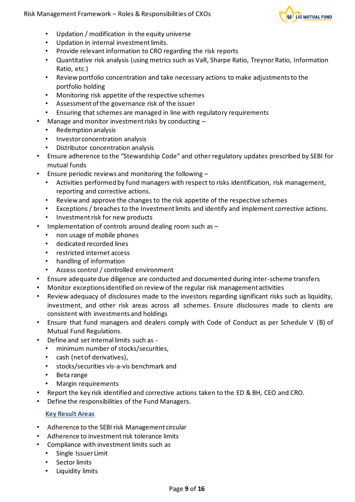

- Updation / modification in the equity universe
- Updation in internal investment limits.
- Provide relevant information to CRO regarding the risk reports
- Quantitative risk analysis (using metrics such as VaR, Sharpe Ratio, Treynor Ratio, Information Ratio, etc.)
- Review portfolio concentration and take necessary actions to make adjustments to the portfolio holding
- Monitoring risk appetite of the respective schemes
- Assessment of the governance risk of the issuer
- Ensuring that schemes are managed in line with regulatory requirements
- Manage and monitor investment risks by conducting
	- Redemption analysis
	- Investor concentration analysis
	- Distributor concentration analysis
- Ensure adherence to the "Stewardship Code" and other regulatory updates prescribed by SEBI for mutual funds
- Ensure periodic reviews and monitoring the following
	- Activities performed by fund managers with respect to risks identification, risk management, reporting and corrective actions.
	- Review and approve the changes to the risk appetite of the respective schemes
	- Exceptions / breaches to the Investment limits and identify and implement corrective actions.
	- Investment risk for new products
- Implementation of controls around dealing room such as -
	- non usage of mobile phones
	- dedicated recorded lines
	- restricted internet access
	- handling of information
	- Access control / controlled environment
- Ensure adequate due diligence are conducted and documented during inter-scheme transfers
- Monitor exceptions identified on review of the regular risk management activities
- Review adequacy of disclosures made to the investors regarding significant risks such as liquidity, investment, and other risk areas across all schemes. Ensure disclosures made to clients are consistent with investments and holdings
- Ensure that fund managers and dealers comply with Code of Conduct as per Schedule V (B) of Mutual Fund Regulations.
- Define and set internal limits such as
	- minimum number of stocks/securities,
	- cash (net of derivatives),
	- stocks/securities vis-a-vis benchmark and
	- Beta range
	- Margin requirements
- Report the key risk identified and corrective actions taken to the ED & BH, CEO and CRO.
- Define the responsibilities of the Fund Managers.

- Adherence to the SEBI risk Management circular
- Adherence to investment risk tolerance limits
- Compliance with investment limits such as
	- Single Issuer Limit
	- Sector limits
	- Liquidity limits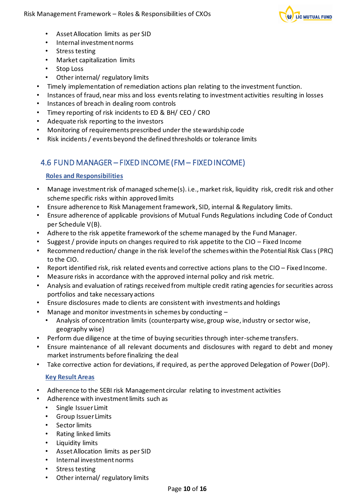

- Asset Allocation limits as per SID
- Internal investment norms
- Stress testing
- Market capitalization limits
- Stop Loss
- Other internal/ regulatory limits
- Timely implementation of remediation actions plan relating to the investment function.
- Instances of fraud, near miss and loss events relating to investment activities resulting in losses
- Instances of breach in dealing room controls
- Timey reporting of risk incidents to ED & BH/ CEO / CRO
- Adequate risk reporting to the investors
- Monitoring of requirements prescribed under the stewardship code
- Risk incidents / events beyond the defined thresholds or tolerance limits

# <span id="page-9-0"></span>4.6 FUND MANAGER – FIXED INCOME (FM – FIXED INCOME)

#### **Roles and Responsibilities**

- Manage investment risk of managed scheme(s). i.e., market risk, liquidity risk, credit risk and other scheme specific risks within approved limits
- Ensure adherence to Risk Management framework, SID, internal & Regulatory limits.
- Ensure adherence of applicable provisions of Mutual Funds Regulations including Code of Conduct per Schedule V(B).
- Adhere to the risk appetite framework of the scheme managed by the Fund Manager.
- Suggest / provide inputs on changes required to risk appetite to the CIO Fixed Income
- Recommend reduction/ change in the risk level of the schemes within the Potential Risk Class (PRC) to the CIO.
- Report identified risk, risk related events and corrective actions plans to the CIO Fixed Income.
- Measure risks in accordance with the approved internal policy and risk metric.
- Analysis and evaluation of ratings received from multiple credit rating agencies for securities across portfolios and take necessary actions
- Ensure disclosures made to clients are consistent with investments and holdings
- Manage and monitor investments in schemes by conducting
	- Analysis of concentration limits (counterparty wise, group wise, industry or sector wise, geography wise)
- Perform due diligence at the time of buying securities through inter-scheme transfers.
- Ensure maintenance of all relevant documents and disclosures with regard to debt and money market instruments before finalizing the deal
- Take corrective action for deviations, if required, as per the approved Delegation of Power (DoP).

- Adherence to the SEBI risk Management circular relating to investment activities
- Adherence with investment limits such as
	- Single Issuer Limit
	- Group Issuer Limits
	- Sector limits
	- Rating linked limits
	- Liquidity limits
	- Asset Allocation limits as per SID
	- Internal investment norms
	- Stress testing
	- Other internal/ regulatory limits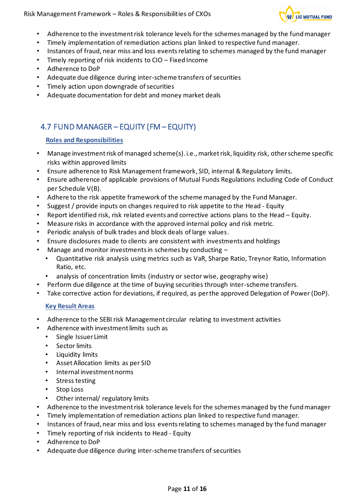Risk Management Framework – Roles & Responsibilities of CXOs



- Adherence to the investment risk tolerance levels for the schemes managed by the fund manager
- Timely implementation of remediation actions plan linked to respective fund manager.
- Instances of fraud, near miss and loss events relating to schemes managed by the fund manager
- Timely reporting of risk incidents to CIO Fixed Income
- Adherence to DoP
- Adequate due diligence during inter-scheme transfers of securities
- Timely action upon downgrade of securities
- Adequate documentation for debt and money market deals

# <span id="page-10-0"></span>4.7 FUND MANAGER – EQUITY (FM – EQUITY)

# **Roles and Responsibilities**

- Manage investment risk of managed scheme(s). i.e., market risk, liquidity risk, other scheme specific risks within approved limits
- Ensure adherence to Risk Management framework, SID, internal & Regulatory limits.
- Ensure adherence of applicable provisions of Mutual Funds Regulations including Code of Conduct per Schedule V(B).
- Adhere to the risk appetite framework of the scheme managed by the Fund Manager.
- Suggest / provide inputs on changes required to risk appetite to the Head Equity
- Report identified risk, risk related events and corrective actions plans to the Head Equity.
- Measure risks in accordance with the approved internal policy and risk metric.
- Periodic analysis of bulk trades and block deals of large values.
- Ensure disclosures made to clients are consistent with investments and holdings
- Manage and monitor investments in schemes by conducting  $-$ 
	- Quantitative risk analysis using metrics such as VaR, Sharpe Ratio, Treynor Ratio, Information Ratio, etc.
- analysis of concentration limits (industry or sector wise, geography wise)
- Perform due diligence at the time of buying securities through inter-scheme transfers.
- Take corrective action for deviations, if required, as per the approved Delegation of Power (DoP).

- Adherence to the SEBI risk Management circular relating to investment activities
- Adherence with investment limits such as
	- Single Issuer Limit
	- Sector limits
	- Liquidity limits
	- Asset Allocation limits as per SID
	- Internal investment norms
	- Stress testing
	- Stop Loss
	- Other internal/ regulatory limits
- Adherence to the investment risk tolerance levels for the schemes managed by the fund manager
- Timely implementation of remediation actions plan linked to respective fund manager.
- Instances of fraud, near miss and loss events relating to schemes managed by the fund manager
- Timely reporting of risk incidents to Head Equity
- Adherence to DoP
- Adequate due diligence during inter-scheme transfers of securities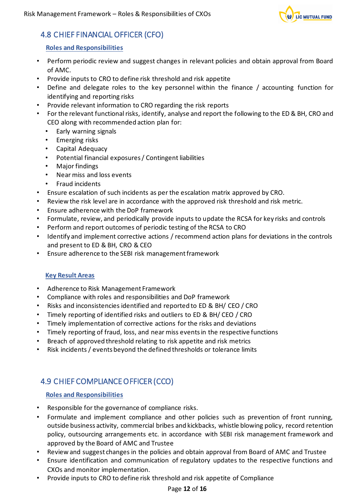

# <span id="page-11-0"></span>4.8 CHIEF FINANCIAL OFFICER (CFO)

## **Roles and Responsibilities**

- Perform periodic review and suggest changes in relevant policies and obtain approval from Board of AMC.
- Provide inputs to CRO to define risk threshold and risk appetite
- Define and delegate roles to the key personnel within the finance / accounting function for identifying and reporting risks
- Provide relevant information to CRO regarding the risk reports
- For the relevant functional risks, identify, analyse and report the following to the ED & BH, CRO and CEO along with recommended action plan for:
	- Early warning signals
	- Emerging risks
	- Capital Adequacy
	- Potential financial exposures / Contingent liabilities
	- Major findings
	- Near miss and loss events
	- Fraud incidents
- Ensure escalation of such incidents as per the escalation matrix approved by CRO.
- Review the risk level are in accordance with the approved risk threshold and risk metric.
- Ensure adherence with the DoP framework
- Formulate, review, and periodically provide inputs to update the RCSA for key risks and controls
- Perform and report outcomes of periodic testing of the RCSA to CRO
- Identify and implement corrective actions / recommend action plans for deviations in the controls and present to ED & BH, CRO & CEO
- Ensure adherence to the SEBI risk management framework

## **Key Result Areas**

- Adherence to Risk Management Framework
- Compliance with roles and responsibilities and DoP framework
- Risks and inconsistencies identified and reported to ED & BH/ CEO / CRO
- Timely reporting of identified risks and outliers to ED & BH/ CEO / CRO
- Timely implementation of corrective actions for the risks and deviations
- Timely reporting of fraud, loss, and near miss events in the respective functions
- Breach of approved threshold relating to risk appetite and risk metrics
- Risk incidents / events beyond the defined thresholds or tolerance limits

# <span id="page-11-1"></span>4.9 CHIEF COMPLIANCE OFFICER (CCO)

# **Roles and Responsibilities**

- Responsible for the governance of compliance risks.
- Formulate and implement compliance and other policies such as prevention of front running, outside business activity, commercial bribes and kickbacks, whistle blowing policy, record retention policy, outsourcing arrangements etc. in accordance with SEBI risk management framework and approved by the Board of AMC and Trustee
- Review and suggest changes in the policies and obtain approval from Board of AMC and Trustee
- Ensure identification and communication of regulatory updates to the respective functions and CXOs and monitor implementation.
- Provide inputs to CRO to define risk threshold and risk appetite of Compliance

## Page **12** of **16**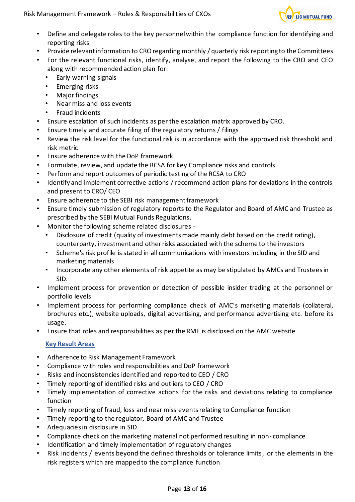

- Define and delegate roles to the key personnel within the compliance function for identifying and reporting risks
- Provide relevant information to CRO regarding monthly / quarterly risk reporting to the Committees
- For the relevant functional risks, identify, analyse, and report the following to the CRO and CEO along with recommended action plan for:
	- Early warning signals
	- Emerging risks
	- Major findings
	- Near miss and loss events
	- Fraud incidents
- Ensure escalation of such incidents as per the escalation matrix approved by CRO.
- Ensure timely and accurate filing of the regulatory returns / filings
- Review the risk level for the functional risk is in accordance with the approved risk threshold and risk metric
- Ensure adherence with the DoP framework
- Formulate, review, and update the RCSA for key Compliance risks and controls
- Perform and report outcomes of periodic testing of the RCSA to CRO
- Identify and implement corrective actions / recommend action plans for deviations in the controls and present to CRO/ CEO
- Ensure adherence to the SEBI risk management framework
- Ensure timely submission of regulatory reports to the Regulator and Board of AMC and Trustee as prescribed by the SEBI Mutual Funds Regulations.
- Monitor the following scheme related disclosures
	- Disclosure of credit (quality of investments made mainly debt based on the credit rating), counterparty, investment and other risks associated with the scheme to the investors
	- Scheme's risk profile is stated in all communications with investors including in the SID and marketing materials
	- Incorporate any other elements of risk appetite as may be stipulated by AMCs and Trustees in SID.
- Implement process for prevention or detection of possible insider trading at the personnel or portfolio levels
- Implement process for performing compliance check of AMC's marketing materials (collateral, brochures etc.), website uploads, digital advertising, and performance advertising etc. before its usage.
- Ensure that roles and responsibilities as per the RMF is disclosed on the AMC website

- Adherence to Risk Management Framework
- Compliance with roles and responsibilities and DoP framework
- Risks and inconsistencies identified and reported to CEO / CRO
- Timely reporting of identified risks and outliers to CEO / CRO
- Timely implementation of corrective actions for the risks and deviations relating to compliance function
- Timely reporting of fraud, loss and near miss events relating to Compliance function
- Timely reporting to the regulator, Board of AMC and Trustee
- Adequacies in disclosure in SID
- Compliance check on the marketing material not performed resulting in non- compliance
- Identification and timely implementation of regulatory changes
- Risk incidents / events beyond the defined thresholds or tolerance limits, or the elements in the risk registers which are mapped to the compliance function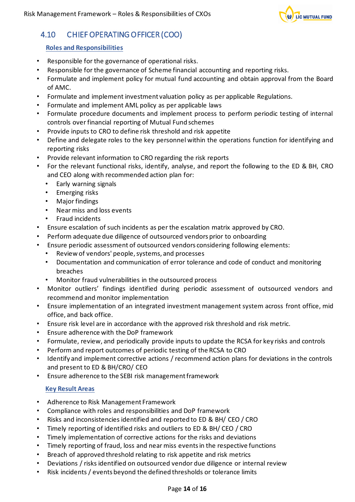

# <span id="page-13-0"></span>4.10 CHIEF OPERATING OFFICER (COO)

## **Roles and Responsibilities**

- Responsible for the governance of operational risks.
- Responsible for the governance of Scheme financial accounting and reporting risks.
- Formulate and implement policy for mutual fund accounting and obtain approval from the Board of AMC.
- Formulate and implement investment valuation policy as per applicable Regulations.
- Formulate and implement AML policy as per applicable laws
- Formulate procedure documents and implement process to perform periodic testing of internal controls over financial reporting of Mutual Fund schemes
- Provide inputs to CRO to define risk threshold and risk appetite
- Define and delegate roles to the key personnel within the operations function for identifying and reporting risks
- Provide relevant information to CRO regarding the risk reports
- For the relevant functional risks, identify, analyse, and report the following to the ED & BH, CRO and CEO along with recommended action plan for:
	- Early warning signals
	- Emerging risks
	- Major findings
	- Near miss and loss events
	- Fraud incidents
- Ensure escalation of such incidents as per the escalation matrix approved by CRO.
- Perform adequate due diligence of outsourced vendors prior to onboarding
- Ensure periodic assessment of outsourced vendors considering following elements:
	- Review of vendors' people, systems, and processes
	- Documentation and communication of error tolerance and code of conduct and monitoring breaches
	- Monitor fraud vulnerabilities in the outsourced process
- Monitor outliers' findings identified during periodic assessment of outsourced vendors and recommend and monitor implementation
- Ensure implementation of an integrated investment management system across front office, mid office, and back office.
- Ensure risk level are in accordance with the approved risk threshold and risk metric.
- Ensure adherence with the DoP framework
- Formulate, review, and periodically provide inputs to update the RCSA for key risks and controls
- Perform and report outcomes of periodic testing of the RCSA to CRO
- Identify and implement corrective actions / recommend action plans for deviations in the controls and present to ED & BH/CRO/ CEO
- Ensure adherence to the SEBI risk management framework

- Adherence to Risk Management Framework
- Compliance with roles and responsibilities and DoP framework
- Risks and inconsistencies identified and reported to ED & BH/ CEO / CRO
- Timely reporting of identified risks and outliers to ED & BH/ CEO / CRO
- Timely implementation of corrective actions for the risks and deviations
- Timely reporting of fraud, loss and near miss events in the respective functions
- Breach of approved threshold relating to risk appetite and risk metrics
- Deviations / risks identified on outsourced vendor due diligence or internal review
- Risk incidents / events beyond the defined thresholds or tolerance limits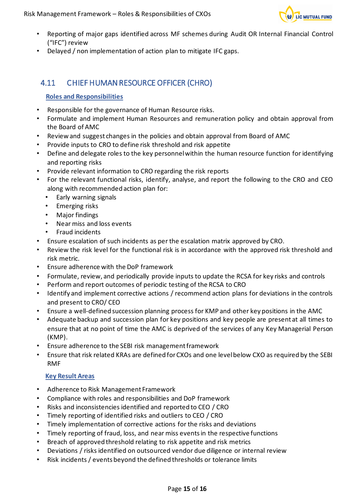

- Reporting of major gaps identified across MF schemes during Audit OR Internal Financial Control ("IFC") review
- Delayed / non implementation of action plan to mitigate IFC gaps.

# <span id="page-14-0"></span>4.11 CHIEF HUMAN RESOURCE OFFICER (CHRO)

## **Roles and Responsibilities**

- Responsible for the governance of Human Resource risks.
- Formulate and implement Human Resources and remuneration policy and obtain approval from the Board of AMC
- Review and suggest changes in the policies and obtain approval from Board of AMC
- Provide inputs to CRO to define risk threshold and risk appetite
- Define and delegate roles to the key personnel within the human resource function for identifying and reporting risks
- Provide relevant information to CRO regarding the risk reports
- For the relevant functional risks, identify, analyse, and report the following to the CRO and CEO along with recommended action plan for:
	- Early warning signals
	- Emerging risks
	- Major findings
	- Near miss and loss events
	- Fraud incidents
- Ensure escalation of such incidents as per the escalation matrix approved by CRO.
- Review the risk level for the functional risk is in accordance with the approved risk threshold and risk metric.
- Ensure adherence with the DoP framework
- Formulate, review, and periodically provide inputs to update the RCSA for key risks and controls
- Perform and report outcomes of periodic testing of the RCSA to CRO
- Identify and implement corrective actions / recommend action plans for deviations in the controls and present to CRO/ CEO
- Ensure a well-defined succession planning process for KMP and other key positions in the AMC
- Adequate backup and succession plan for key positions and key people are present at all times to ensure that at no point of time the AMC is deprived of the services of any Key Managerial Person (KMP).
- Ensure adherence to the SEBI risk management framework
- Ensure that risk related KRAs are defined for CXOs and one level below CXO as required by the SEBI RMF

- Adherence to Risk Management Framework
- Compliance with roles and responsibilities and DoP framework
- Risks and inconsistencies identified and reported to CEO / CRO
- Timely reporting of identified risks and outliers to CEO / CRO
- Timely implementation of corrective actions for the risks and deviations
- Timely reporting of fraud, loss, and near miss events in the respective functions
- Breach of approved threshold relating to risk appetite and risk metrics
- Deviations / risks identified on outsourced vendor due diligence or internal review
- Risk incidents / events beyond the defined thresholds or tolerance limits